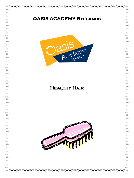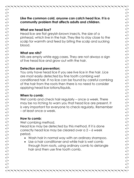**Like the common cold, anyone can catch head lice. It is a community problem that affects adults and children.**

### **What are head lice?**

Head lice are flat greyish-brown insects, the size of a pinhead, which live in the hair. They like to stay close to the scalp for warmth and feed by biting the scalp and sucking blood.

### **What are nits?**

Nits are empty white egg cases. They are not always a sign of live head lice and grow out with the hair.

## **Detection and prevention:**

You only have head lice if you see live lice in the hair. Lice are most easily detected by fine tooth combing wet conditioned hair. If no lice can be found by careful combing of the hair from the roots then there is no need to consider applying head lice lotions/liquids.

# **When to comb:**

Wet comb and check hair regularly – once a week. There may be no itching to warn you that head lice are present. It is very important for everyone to check regularly. Remember – at least once a week.

# **How to comb:**

Wet combing method.

Head lice may be detected by this method. If it is done correctly head lice may be cleared over a 2 – 6 week period.

- Wash hair in normal way with an ordinary shampoo.
- Use a hair conditioner and while hair is wet comb through from roots, using ordinary comb to detangle hair and then use fine tooth comb.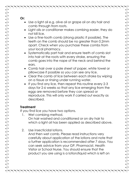**Or:**

- Use a light oil e.g. olive oil or grape oil on dry hair and comb through from roots.
- Light oils or conditioner makes combing easier, they do not kill lice.
- Use a fine-tooth comb (strong plastic if possible). The teeth on the comb should be no greater than 0.2mm apart. Check when you purchase these combs from your local pharmacy.
- Systematically part hair and ensure teeth of comb slot into hair at the roots with every stroke, ensuring the comb goes into the nape of the neck and behind the ears.
- Comb hair over a pale sheet of paper, white towel or pillowcase if possible so you can see any lice.
- Clear the comb of lice between each stroke by wiping on a tissue or rinsing under running water.
- If you find any lice, then repeat this routine every 2-3 days for 2-6 weeks so that any lice emerging from the eggs are removed before they can spread or reproduce. This will only work if carried out exactly as described.

# **Treatment**

If you find lice you have two options.

- 1. Wet combing method. On hair washed and conditioned or on dry hair to which a light oil has been applied as described above.
- 2. Use insecticidal lotions.

And then wet comb. Please read instructions very carefully about application of the lotions and note that a further application is recommended after 7 days. You can seek advice from your GP, Pharmacist, Health Visitor or School Nurse. You should ensure that the product you are using is a lotion/liquid which is left on